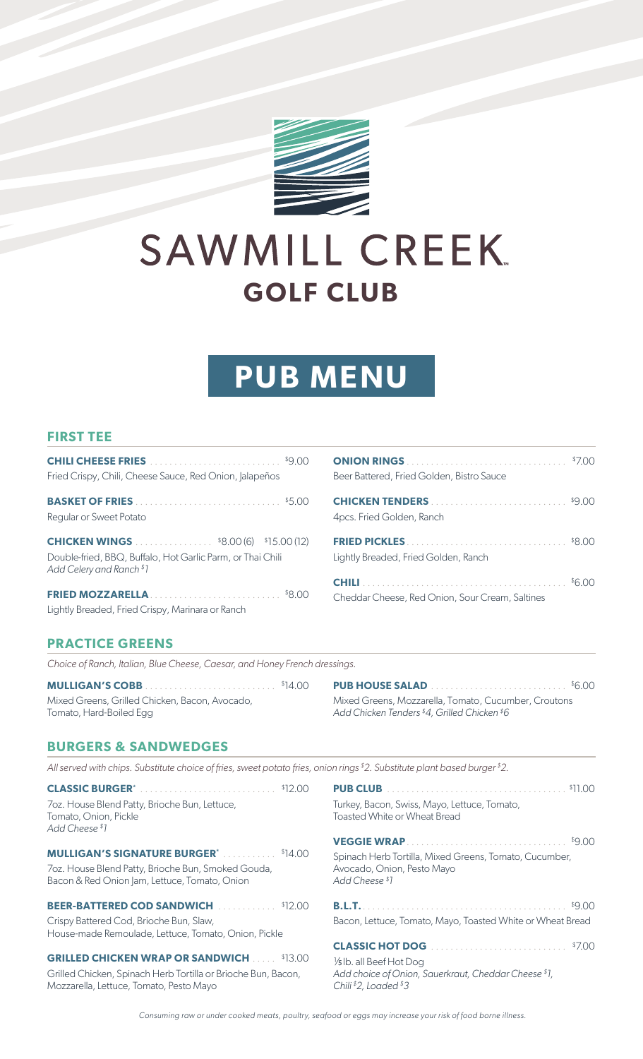

# SAWMILL CREEK. **GOLF CLUB**

## **PUB MENU**

#### **FIRST TEE**

| Fried Crispy, Chili, Cheese Sauce, Red Onion, Jalapeños                                |  |
|----------------------------------------------------------------------------------------|--|
|                                                                                        |  |
| Regular or Sweet Potato                                                                |  |
| <b>CHICKEN WINGS</b> \$8.00 (6) \$15.00 (12)                                           |  |
| Double-fried, BBQ, Buffalo, Hot Garlic Parm, or Thai Chili<br>Add Celery and Ranch \$1 |  |
|                                                                                        |  |
| Lightly Breaded, Fried Crispy, Marinara or Ranch                                       |  |

| Beer Battered, Fried Golden, Bistro Sauce       | $\frac{1}{2}$ |
|-------------------------------------------------|---------------|
| 4pcs. Fried Golden, Ranch                       |               |
| Lightly Breaded, Fried Golden, Ranch            |               |
| Cheddar Cheese, Red Onion, Sour Cream, Saltines |               |

#### **PRACTICE GREENS**

*Choice of Ranch, Italian, Blue Cheese, Caesar, and Honey French dressings.*

**MULLIGAN'S COBB** . . . . . . . . . . . . . . . . . . . . . . . . . . . \$14.00 Mixed Greens, Grilled Chicken, Bacon, Avocado, Tomato, Hard-Boiled Egg

**PUB HOUSE SALAD** . . . . . . . . . . . . . . . . . . . . . . . . . . . . \$6.00 Mixed Greens, Mozzarella, Tomato, Cucumber, Croutons *Add Chicken Tenders \$4, Grilled Chicken \$6*

#### **BURGERS & SANDWEDGES**

*All served with chips. Substitute choice of fries, sweet potato fries, onion rings \$2. Substitute plant based burger \$2.*

| <b>CLASSIC BURGER' CLASSIC BURGER' CLASSIC BURGER'</b><br>7oz. House Blend Patty, Brioche Bun, Lettuce,<br>Tomato, Onion, Pickle<br>Add Cheese <sup>\$1</sup> | \$11.00<br>Turkey, Bacon, Swiss, Mayo, Lettuce, Tomato,<br>Toasted White or Wheat Bread                |
|---------------------------------------------------------------------------------------------------------------------------------------------------------------|--------------------------------------------------------------------------------------------------------|
|                                                                                                                                                               | \$9.00<br>VEGGIE WRAP                                                                                  |
| <b>MULLIGAN'S SIGNATURE BURGER*</b> \$14.00<br>7oz. House Blend Patty, Brioche Bun, Smoked Gouda,<br>Bacon & Red Onion Jam, Lettuce, Tomato, Onion            | Spinach Herb Tortilla, Mixed Greens, Tomato, Cucumber,<br>Avocado, Onion, Pesto Mayo<br>Add Cheese \$1 |
|                                                                                                                                                               |                                                                                                        |
| <b>BEER-BATTERED COD SANDWICH Example 12.00</b>                                                                                                               | <b>B.L.T.</b><br>\$9.00                                                                                |
| Crispy Battered Cod, Brioche Bun, Slaw,<br>House-made Remoulade, Lettuce, Tomato, Onion, Pickle                                                               | Bacon, Lettuce, Tomato, Mayo, Toasted White or Wheat Bread                                             |
| <b>GRILLED CHICKEN WRAP OR SANDWICH  \$13.00</b>                                                                                                              | \$7.00                                                                                                 |

*Consuming raw or under cooked meats, poultry, seafood or eggs may increase your risk of food borne illness.*